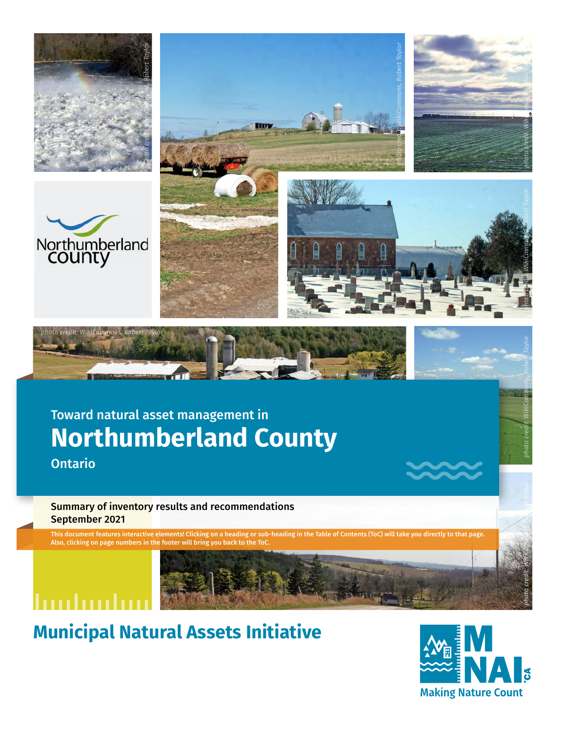









## Toward natural asset management in **Northumberland County**

Ontario

#### Summary of inventory results and recommendations September 2021

This document features interactive elements! Clicking on a heading or sub-heading in the Table of Contents (ToC) will take you directly to that page. Also, clicking on page numbers in the footer will bring you ba



## huduubu

**Municipal Natural Assets Initiative**



*photo credit*

*[photo credit: WikiCommons, Ro bert Taylor](https://commons.wikimedia.org/wiki/File:Winter_in_Mission_Creek_Regional_Park_-_Kelowna,_BC.jpg)*

*[: WikiCommons, Robert Taylor](https://commons.wikimedia.org/wiki/File:Oregon_Junco_in_Kelowna,_BC.jpg)*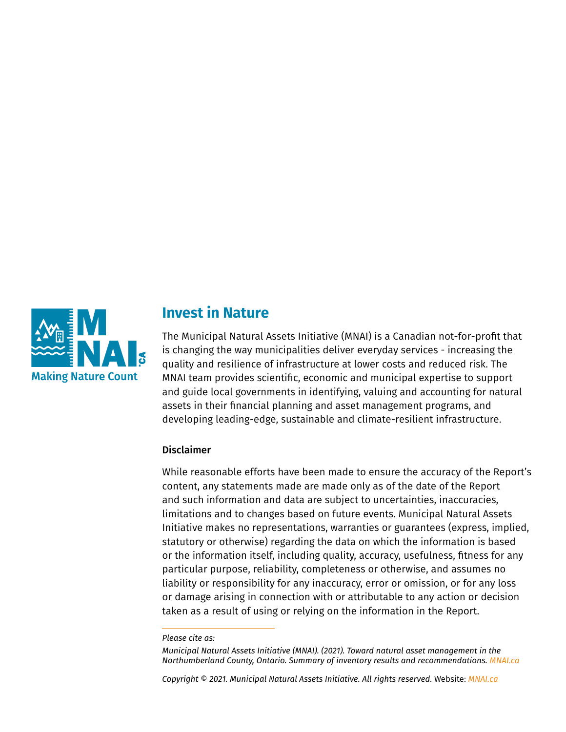

#### **Invest in Nature**

The Municipal Natural Assets Initiative (MNAI) is a Canadian not-for-profit that is changing the way municipalities deliver everyday services - increasing the quality and resilience of infrastructure at lower costs and reduced risk. The MNAI team provides scientific, economic and municipal expertise to support and guide local governments in identifying, valuing and accounting for natural assets in their financial planning and asset management programs, and developing leading-edge, sustainable and climate-resilient infrastructure.

#### Disclaimer

While reasonable efforts have been made to ensure the accuracy of the Report's content, any statements made are made only as of the date of the Report and such information and data are subject to uncertainties, inaccuracies, limitations and to changes based on future events. Municipal Natural Assets Initiative makes no representations, warranties or guarantees (express, implied, statutory or otherwise) regarding the data on which the information is based or the information itself, including quality, accuracy, usefulness, fitness for any particular purpose, reliability, completeness or otherwise, and assumes no liability or responsibility for any inaccuracy, error or omission, or for any loss or damage arising in connection with or attributable to any action or decision taken as a result of using or relying on the information in the Report.

*Municipal Natural Assets Initiative (MNAI). (2021). Toward natural asset management in the Northumberland County, Ontario. Summary of inventory results and recommendations. [MNAI.ca](http://MNAI.ca)*

*Copyright © 2021. Municipal Natural Assets Initiative. All rights reserved.* Website: *MNAI.ca*

*Please cite as:*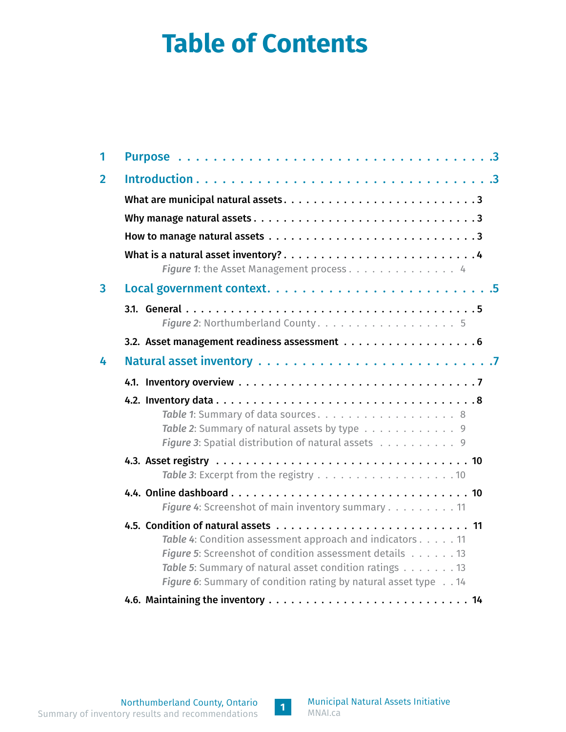# <span id="page-2-0"></span>**Table of Contents**

| 1              |                                                                                                                                                                                                                                                 |  |  |  |  |  |  |  |  |  |  |  |
|----------------|-------------------------------------------------------------------------------------------------------------------------------------------------------------------------------------------------------------------------------------------------|--|--|--|--|--|--|--|--|--|--|--|
| $\overline{2}$ |                                                                                                                                                                                                                                                 |  |  |  |  |  |  |  |  |  |  |  |
|                |                                                                                                                                                                                                                                                 |  |  |  |  |  |  |  |  |  |  |  |
|                |                                                                                                                                                                                                                                                 |  |  |  |  |  |  |  |  |  |  |  |
|                |                                                                                                                                                                                                                                                 |  |  |  |  |  |  |  |  |  |  |  |
|                | What is a natural asset inventory?4<br>Figure 1: the Asset Management process 4                                                                                                                                                                 |  |  |  |  |  |  |  |  |  |  |  |
| $\overline{3}$ |                                                                                                                                                                                                                                                 |  |  |  |  |  |  |  |  |  |  |  |
|                | Figure 2: Northumberland County. 5                                                                                                                                                                                                              |  |  |  |  |  |  |  |  |  |  |  |
|                |                                                                                                                                                                                                                                                 |  |  |  |  |  |  |  |  |  |  |  |
| 4              |                                                                                                                                                                                                                                                 |  |  |  |  |  |  |  |  |  |  |  |
|                |                                                                                                                                                                                                                                                 |  |  |  |  |  |  |  |  |  |  |  |
|                | Table 1: Summary of data sources. 8<br>Table 2: Summary of natural assets by type 9<br>Figure 3: Spatial distribution of natural assets 9                                                                                                       |  |  |  |  |  |  |  |  |  |  |  |
|                |                                                                                                                                                                                                                                                 |  |  |  |  |  |  |  |  |  |  |  |
|                | Figure 4: Screenshot of main inventory summary 11                                                                                                                                                                                               |  |  |  |  |  |  |  |  |  |  |  |
|                | Table 4: Condition assessment approach and indicators 11<br>Figure 5: Screenshot of condition assessment details 13<br>Table 5: Summary of natural asset condition ratings 13<br>Figure 6: Summary of condition rating by natural asset type 14 |  |  |  |  |  |  |  |  |  |  |  |
|                |                                                                                                                                                                                                                                                 |  |  |  |  |  |  |  |  |  |  |  |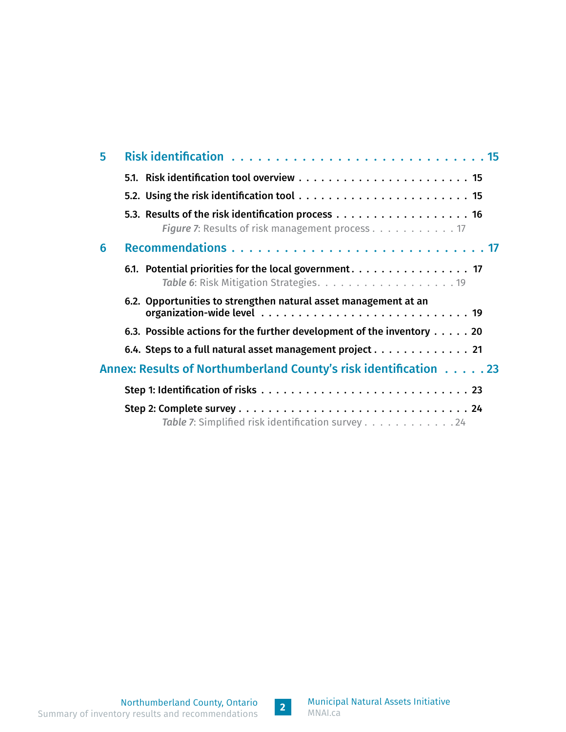| 5 |                                                                                 |
|---|---------------------------------------------------------------------------------|
|   |                                                                                 |
|   |                                                                                 |
|   | Figure 7: Results of risk management process 17                                 |
| 6 |                                                                                 |
|   |                                                                                 |
|   | 6.2. Opportunities to strengthen natural asset management at an                 |
|   | 6.3. Possible actions for the further development of the inventory $\dots$ . 20 |
|   | 6.4. Steps to a full natural asset management project $\dots \dots \dots \dots$ |
|   | Annex: Results of Northumberland County's risk identification 23                |
|   |                                                                                 |
|   | Table 7: Simplified risk identification survey 24                               |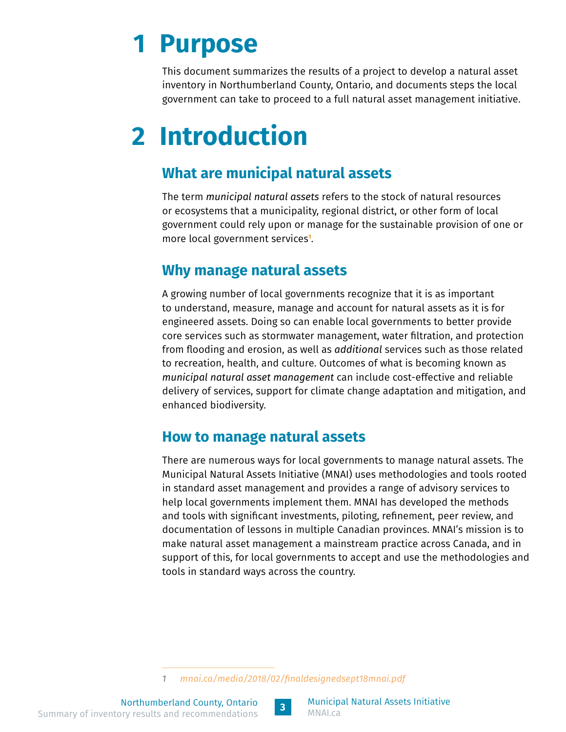# <span id="page-4-0"></span>**1 Purpose**

This document summarizes the results of a project to develop a natural asset inventory in Northumberland County, Ontario, and documents steps the local government can take to proceed to a full natural asset management initiative.

# **2 Introduction**

#### **What are municipal natural assets**

The term *municipal natural assets* refers to the stock of natural resources or ecosystems that a municipality, regional district, or other form of local government could rely upon or manage for the sustainable provision of one or more local government services**<sup>1</sup>** .

#### **Why manage natural assets**

A growing number of local governments recognize that it is as important to understand, measure, manage and account for natural assets as it is for engineered assets. Doing so can enable local governments to better provide core services such as stormwater management, water filtration, and protection from flooding and erosion, as well as *additional* services such as those related to recreation, health, and culture. Outcomes of what is becoming known as *municipal natural asset management* can include cost-effective and reliable delivery of services, support for climate change adaptation and mitigation, and enhanced biodiversity.

#### **How to manage natural assets**

There are numerous ways for local governments to manage natural assets. The Municipal Natural Assets Initiative (MNAI) uses methodologies and tools rooted in standard asset management and provides a range of advisory services to help local governments implement them. MNAI has developed the methods and tools with significant investments, piloting, refinement, peer review, and documentation of lessons in multiple Canadian provinces. MNAI's mission is to make natural asset management a mainstream practice across Canada, and in support of this, for local governments to accept and use the methodologies and tools in standard ways across the country.



*<sup>1</sup> [mnai.ca/media/2018/02/finaldesignedsept18mnai.pdf](https://mnai.ca/media/2018/02/finaldesignedsept18mnai.pdf)*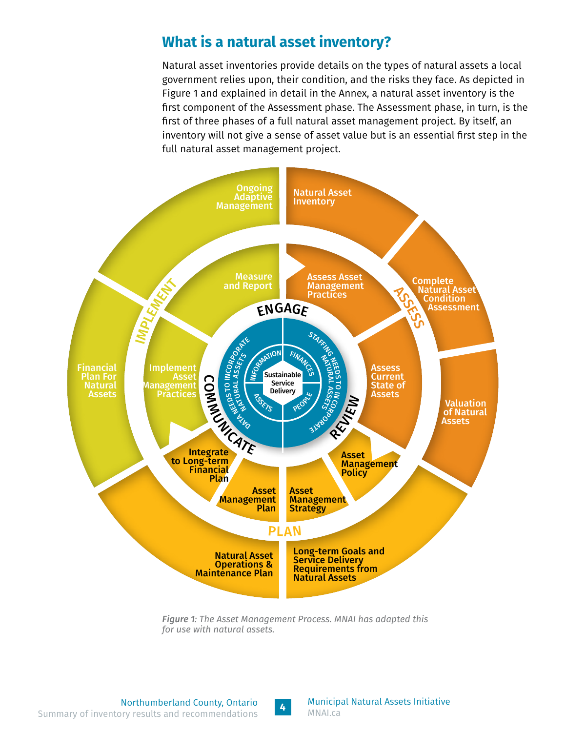#### <span id="page-5-0"></span>**What is a natural asset inventory?**

Natural asset inventories provide details on the types of natural assets a local government relies upon, their condition, and the risks they face. As depicted in Figure 1 and explained in detail in the Annex, a natural asset inventory is the first component of the Assessment phase. The Assessment phase, in turn, is the first of three phases of a full natural asset management project. By itself, an inventory will not give a sense of asset value but is an essential first step in the full natural asset management project.



*Figure 1: The Asset Management Process. MNAI has adapted this for use with natural assets.*

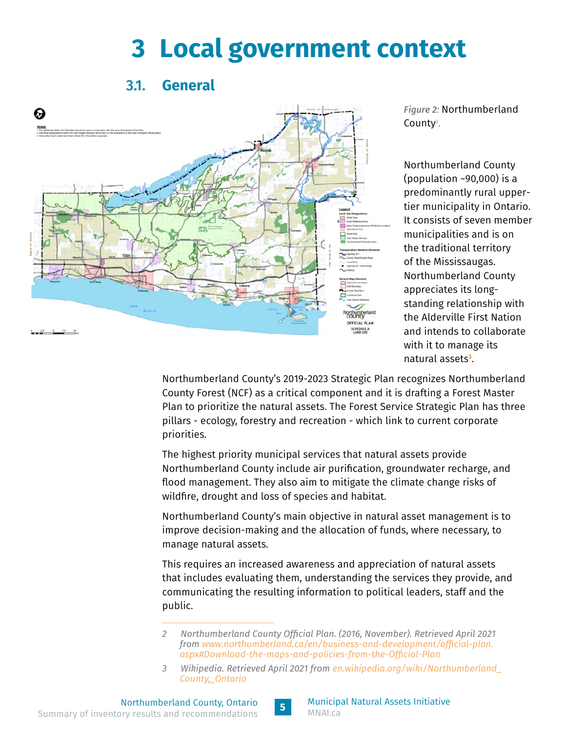# **3 Local government context**

#### 3.1. **General**

<span id="page-6-0"></span>

*Figure 2:* Northumberland County**<sup>2</sup>** *.*

Northumberland County (population ~90,000) is a predominantly rural uppertier municipality in Ontario. It consists of seven member municipalities and is on the traditional territory of the Mississaugas. Northumberland County appreciates its longstanding relationship with the Alderville First Nation and intends to collaborate with it to manage its natural assets**<sup>3</sup>** .

Northumberland County's 2019-2023 Strategic Plan recognizes Northumberland County Forest (NCF) as a critical component and it is drafting a Forest Master Plan to prioritize the natural assets. The Forest Service Strategic Plan has three pillars - ecology, forestry and recreation - which link to current corporate priorities.

The highest priority municipal services that natural assets provide Northumberland County include air purification, groundwater recharge, and flood management. They also aim to mitigate the climate change risks of wildfire, drought and loss of species and habitat.

Northumberland County's main objective in natural asset management is to improve decision-making and the allocation of funds, where necessary, to manage natural assets.

This requires an increased awareness and appreciation of natural assets that includes evaluating them, understanding the services they provide, and communicating the resulting information to political leaders, staff and the public.



*<sup>2</sup> Northumberland County Official Plan. (2016, November). Retrieved April 2021 from [www.northumberland.ca/en/business-and-development/official-plan.](https://www.northumberland.ca/en/business-and-development/official-plan.aspx#Download-the-maps-and-policies-from-the-Official-Plan) [aspx#Download-the-maps-and-policies-from-the-Official-Plan](https://www.northumberland.ca/en/business-and-development/official-plan.aspx#Download-the-maps-and-policies-from-the-Official-Plan)*

*<sup>3</sup> Wikipedia. Retrieved April 2021 from [en.wikipedia.org/wiki/Northumberland\\_](https://en.wikipedia.org/wiki/Northumberland_County,_Ontario) [County,\\_Ontario](https://en.wikipedia.org/wiki/Northumberland_County,_Ontario)*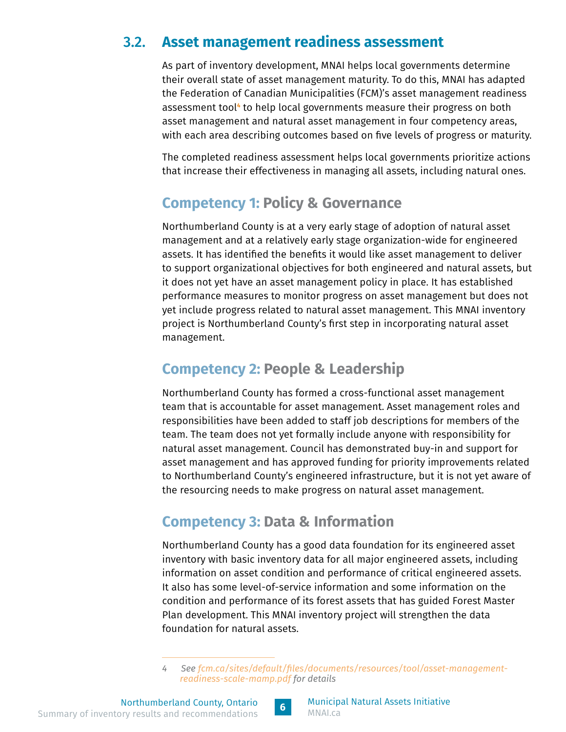#### <span id="page-7-0"></span>3.2. **Asset management readiness assessment**

As part of inventory development, MNAI helps local governments determine their overall state of asset management maturity. To do this, MNAI has adapted the Federation of Canadian Municipalities (FCM)'s asset management readiness assessment tool<del>'</del> to help local governments measure their progress on both asset management and natural asset management in four competency areas, with each area describing outcomes based on five levels of progress or maturity.

The completed readiness assessment helps local governments prioritize actions that increase their effectiveness in managing all assets, including natural ones.

### **Competency 1: Policy & Governance**

Northumberland County is at a very early stage of adoption of natural asset management and at a relatively early stage organization-wide for engineered assets. It has identified the benefits it would like asset management to deliver to support organizational objectives for both engineered and natural assets, but it does not yet have an asset management policy in place. It has established performance measures to monitor progress on asset management but does not yet include progress related to natural asset management. This MNAI inventory project is Northumberland County's first step in incorporating natural asset management.

### **Competency 2: People & Leadership**

Northumberland County has formed a cross-functional asset management team that is accountable for asset management. Asset management roles and responsibilities have been added to staff job descriptions for members of the team. The team does not yet formally include anyone with responsibility for natural asset management. Council has demonstrated buy-in and support for asset management and has approved funding for priority improvements related to Northumberland County's engineered infrastructure, but it is not yet aware of the resourcing needs to make progress on natural asset management.

## **Competency 3: Data & Information**

Northumberland County has a good data foundation for its engineered asset inventory with basic inventory data for all major engineered assets, including information on asset condition and performance of critical engineered assets. It also has some level-of-service information and some information on the condition and performance of its forest assets that has guided Forest Master Plan development. This MNAI inventory project will strengthen the data foundation for natural assets.

*<sup>4</sup> See [fcm.ca/sites/default/files/documents/resources/tool/asset-management](https://fcm.ca/sites/default/files/documents/resources/tool/asset-management-readiness-scale-mamp.pdf)[readiness-scale-mamp.pdf](https://fcm.ca/sites/default/files/documents/resources/tool/asset-management-readiness-scale-mamp.pdf) for details*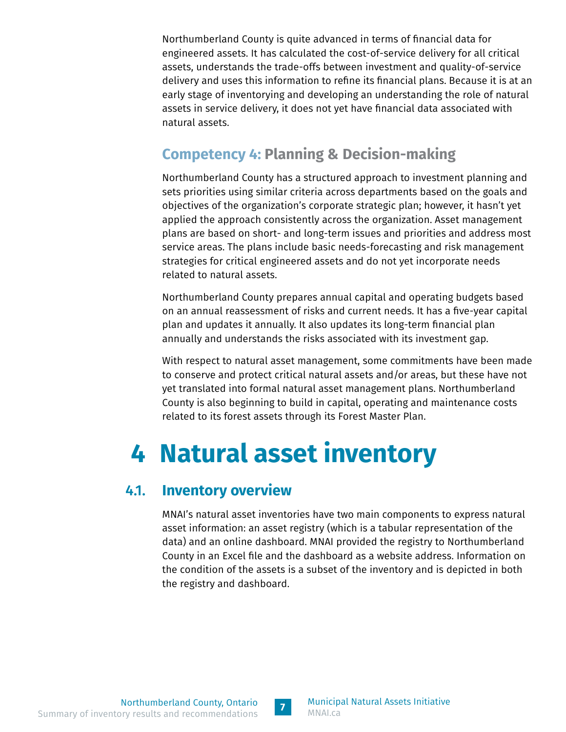<span id="page-8-0"></span>Northumberland County is quite advanced in terms of financial data for engineered assets. It has calculated the cost-of-service delivery for all critical assets, understands the trade-offs between investment and quality-of-service delivery and uses this information to refine its financial plans. Because it is at an early stage of inventorying and developing an understanding the role of natural assets in service delivery, it does not yet have financial data associated with natural assets.

### **Competency 4: Planning & Decision-making**

Northumberland County has a structured approach to investment planning and sets priorities using similar criteria across departments based on the goals and objectives of the organization's corporate strategic plan; however, it hasn't yet applied the approach consistently across the organization. Asset management plans are based on short- and long-term issues and priorities and address most service areas. The plans include basic needs-forecasting and risk management strategies for critical engineered assets and do not yet incorporate needs related to natural assets.

Northumberland County prepares annual capital and operating budgets based on an annual reassessment of risks and current needs. It has a five-year capital plan and updates it annually. It also updates its long-term financial plan annually and understands the risks associated with its investment gap.

With respect to natural asset management, some commitments have been made to conserve and protect critical natural assets and/or areas, but these have not yet translated into formal natural asset management plans. Northumberland County is also beginning to build in capital, operating and maintenance costs related to its forest assets through its Forest Master Plan.

# **4 Natural asset inventory**

#### 4.1. **Inventory overview**

MNAI's natural asset inventories have two main components to express natural asset information: an asset registry (which is a tabular representation of the data) and an online dashboard. MNAI provided the registry to Northumberland County in an Excel file and the dashboard as a website address. Information on the condition of the assets is a subset of the inventory and is depicted in both the registry and dashboard.

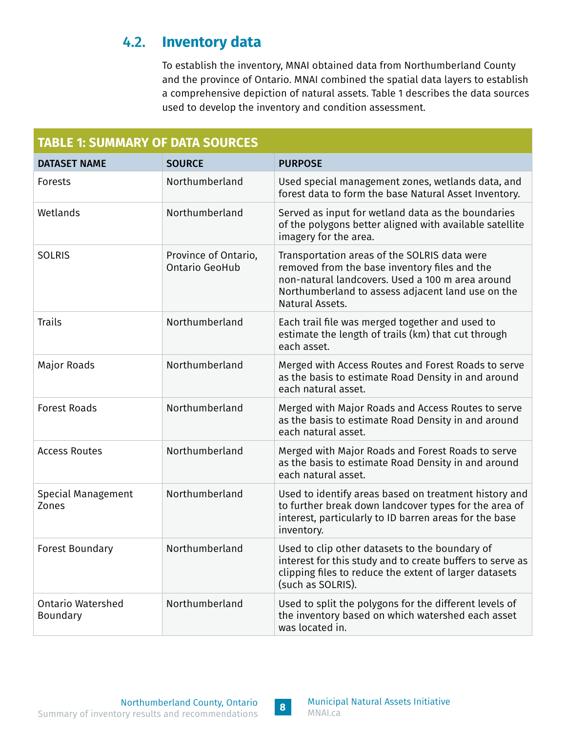#### <span id="page-9-0"></span>4.2. **Inventory data**

To establish the inventory, MNAI obtained data from Northumberland County and the province of Ontario. MNAI combined the spatial data layers to establish a comprehensive depiction of natural assets. Table 1 describes the data sources used to develop the inventory and condition assessment.

| <b>TABLE 1: SUMMARY OF DATA SOURCES</b> |                                        |                                                                                                                                                                                                                           |  |  |  |  |  |  |
|-----------------------------------------|----------------------------------------|---------------------------------------------------------------------------------------------------------------------------------------------------------------------------------------------------------------------------|--|--|--|--|--|--|
| <b>DATASET NAME</b>                     | <b>SOURCE</b>                          | <b>PURPOSE</b>                                                                                                                                                                                                            |  |  |  |  |  |  |
| Forests                                 | Northumberland                         | Used special management zones, wetlands data, and<br>forest data to form the base Natural Asset Inventory.                                                                                                                |  |  |  |  |  |  |
| Wetlands                                | Northumberland                         | Served as input for wetland data as the boundaries<br>of the polygons better aligned with available satellite<br>imagery for the area.                                                                                    |  |  |  |  |  |  |
| <b>SOLRIS</b>                           | Province of Ontario,<br>Ontario GeoHub | Transportation areas of the SOLRIS data were<br>removed from the base inventory files and the<br>non-natural landcovers. Used a 100 m area around<br>Northumberland to assess adjacent land use on the<br>Natural Assets. |  |  |  |  |  |  |
| <b>Trails</b>                           | Northumberland                         | Each trail file was merged together and used to<br>estimate the length of trails (km) that cut through<br>each asset.                                                                                                     |  |  |  |  |  |  |
| Major Roads                             | Northumberland                         | Merged with Access Routes and Forest Roads to serve<br>as the basis to estimate Road Density in and around<br>each natural asset.                                                                                         |  |  |  |  |  |  |
| <b>Forest Roads</b>                     | Northumberland                         | Merged with Major Roads and Access Routes to serve<br>as the basis to estimate Road Density in and around<br>each natural asset.                                                                                          |  |  |  |  |  |  |
| <b>Access Routes</b>                    | Northumberland                         | Merged with Major Roads and Forest Roads to serve<br>as the basis to estimate Road Density in and around<br>each natural asset.                                                                                           |  |  |  |  |  |  |
| Special Management<br>Zones             | Northumberland                         | Used to identify areas based on treatment history and<br>to further break down landcover types for the area of<br>interest, particularly to ID barren areas for the base<br>inventory.                                    |  |  |  |  |  |  |
| <b>Forest Boundary</b>                  | Northumberland                         | Used to clip other datasets to the boundary of<br>interest for this study and to create buffers to serve as<br>clipping files to reduce the extent of larger datasets<br>(such as SOLRIS).                                |  |  |  |  |  |  |
| <b>Ontario Watershed</b><br>Boundary    | Northumberland                         | Used to split the polygons for the different levels of<br>the inventory based on which watershed each asset<br>was located in.                                                                                            |  |  |  |  |  |  |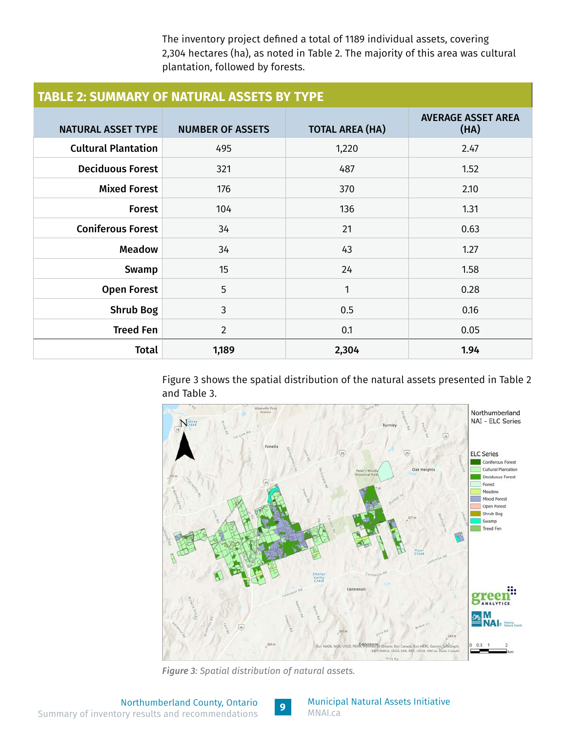The inventory project defined a total of 1189 individual assets, covering 2,304 hectares (ha), as noted in Table 2. The majority of this area was cultural plantation, followed by forests.

<span id="page-10-0"></span>

| <b>TABLE 2: SUMMARY OF NATURAL ASSETS BY TYPE</b> |                         |                        |                                   |  |  |  |  |
|---------------------------------------------------|-------------------------|------------------------|-----------------------------------|--|--|--|--|
| <b>NATURAL ASSET TYPE</b>                         | <b>NUMBER OF ASSETS</b> | <b>TOTAL AREA (HA)</b> | <b>AVERAGE ASSET AREA</b><br>(HA) |  |  |  |  |
| <b>Cultural Plantation</b>                        | 495                     | 1,220                  | 2.47                              |  |  |  |  |
| <b>Deciduous Forest</b>                           | 321                     | 487                    | 1.52                              |  |  |  |  |
| <b>Mixed Forest</b>                               | 176                     | 370                    | 2.10                              |  |  |  |  |
| <b>Forest</b>                                     | 104                     | 136                    | 1.31                              |  |  |  |  |
| <b>Coniferous Forest</b>                          | 34                      | 21                     | 0.63                              |  |  |  |  |
| <b>Meadow</b>                                     | 34                      | 43                     | 1.27                              |  |  |  |  |
| Swamp                                             | 15                      | 24                     | 1.58                              |  |  |  |  |
| <b>Open Forest</b>                                | 5                       | 1                      | 0.28                              |  |  |  |  |
| <b>Shrub Bog</b>                                  | 3                       | 0.5                    | 0.16                              |  |  |  |  |
| <b>Treed Fen</b>                                  | $\overline{2}$          | 0.1                    | 0.05                              |  |  |  |  |
| Total                                             | 1,189                   | 2,304                  | 1.94                              |  |  |  |  |

Figure 3 shows the spatial distribution of the natural assets presented in Table 2 and Table 3.



*Figure 3: Spatial distribution of natural assets.*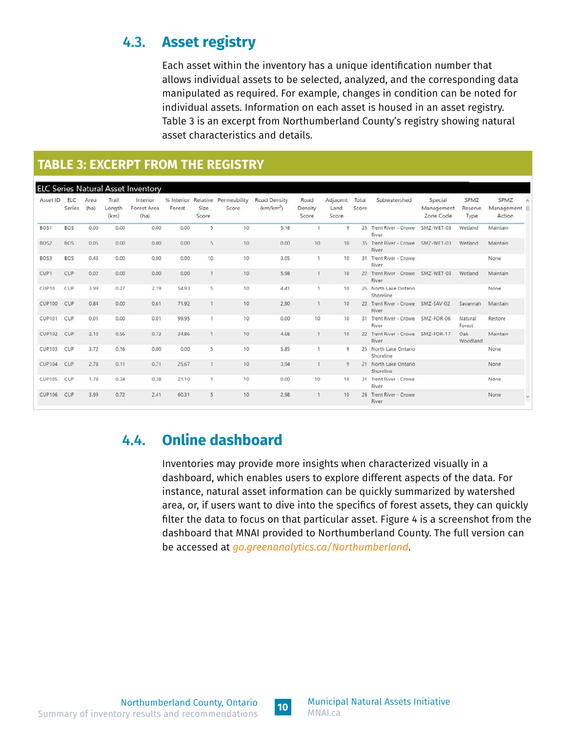### <span id="page-11-0"></span>4.3. **Asset registry**

Each asset within the inventory has a unique identification number that allows individual assets to be selected, analyzed, and the corresponding data manipulated as required. For example, changes in condition can be noted for individual assets. Information on each asset is housed in an asset registry. Table 3 is an excerpt from Northumberland County's registry showing natural asset characteristics and details.

#### **TABLE 3: EXCERPT FROM THE REGISTRY**

| Asset ID         | ELC<br>Series | Area<br>(ha) | Trail<br>Length<br>(km) | Interior<br>Forest Area<br>(ha) | Forest | Size<br>Score | % Interior Relative Permeability<br>Score | Road Density<br>(km/km <sup>2</sup> ) | Road<br>Density<br>Score | Adjacent<br>Land<br>Score | Total<br>Score | Subwatershed                               | Special<br>Management<br>Zone Code | SPMZ<br>Reserve<br>Type | SPMZ<br>Management<br>Action |
|------------------|---------------|--------------|-------------------------|---------------------------------|--------|---------------|-------------------------------------------|---------------------------------------|--------------------------|---------------------------|----------------|--------------------------------------------|------------------------------------|-------------------------|------------------------------|
| BOS1             | <b>BOS</b>    | 0.00         | 0.00                    | 0.00                            | 0.00   | 5             | 10                                        | 5.18                                  | $\mathbf{1}$             | $\mathbf{Q}$              |                | 25 Trent River - Crowe SMZ-WET-03<br>River |                                    | Wetland                 | Maintain                     |
| BOS2             | <b>BOS</b>    | 0.05         | 0.00                    | 0.00                            | 0.00   | 5             | 10                                        | 0.00                                  | 10                       | $10 -$                    |                | 35 Trent River - Crowe SMZ-WET-03<br>River |                                    | Wetland                 | Maintain                     |
| BOS3             | BOS           | 0.43         | 0.00                    | 0.00                            | 0.00   | 10            | 10                                        | 3.05                                  | đ.                       | 10                        | 31             | Trent River - Crowe<br>River               |                                    |                         | None                         |
| CUP <sub>1</sub> | CUP           | 0.02         | 0.00                    | 0.00                            | 0.00   | $\mathbf{1}$  | 10                                        | 5.98                                  | $\mathbf{1}$             | 10                        | 22             | Trent River - Crowe SMZ-WET-03<br>River    |                                    | Wetland                 | Maintain                     |
| CUP10            | CUP           | 3.99         | 0.27                    | 2.19                            | 54.93  | 5             | 10                                        | 4.41                                  | $\mathbf{1}$             | 10                        |                | 26 North Lake Ontario<br>Shoreline         |                                    |                         | None                         |
| <b>CUP100</b>    | CUP           | 0.84         | 0.00                    | 0.61                            | 71.92  | $\mathcal{I}$ | 10                                        | 2.90                                  | 1                        | 10                        |                | 22 Trent River - Crowe SMZ-SAV-02<br>River |                                    | Savannah                | Maintain                     |
| <b>CUP101</b>    | CUP           | 0.01         | 0.00                    | 0.01                            | 99.95  |               | 10                                        | 0.00                                  | 10                       | 10                        | 31             | Trent River - Crowe SMZ-FOR-06<br>River    |                                    | Natural<br>Forest       | Restore                      |
| <b>CUP102</b>    | CUP           | 2.10         | 0.56                    | 0.73                            | 34.86  | $\mathbf{I}$  | 10                                        | 4.68                                  | $\mathbf{1}$             | 10                        |                | 22 Trent River - Crowe SMZ-FOR-17<br>River |                                    | Oak<br>Woodland         | Maintain                     |
| <b>CUP103</b>    | CUP           | 3.72         | 0.16                    | 0.00                            | 0.00   | 5             | 10                                        | 5.85                                  |                          | 9                         |                | 25 North Lake Ontario<br>Shoreline         |                                    |                         | None                         |
| <b>CUP104</b>    | CUP           | 2.78         | 0.11                    | 0.71                            | 25.67  | $\mathbf{1}$  | 10 <sup>°</sup>                           | 3.94                                  | $\mathbf{1}$             | 9                         |                | 21 North Lake Ontario<br>Shoreline         |                                    |                         | None                         |
| <b>CUP105</b>    | CUP           | 1.78         | 0.34                    | 0.38                            | 21.10  | $\mathbb{I}$  | 10                                        | 0.00                                  | 10                       | 10                        |                | 31 Trent River - Crowe<br>River            |                                    |                         | None                         |
| <b>CUP106</b>    | CUP           | 3.99         | 0.72                    | 2.41                            | 60.31  | 5             | 10                                        | 2.98                                  | $\mathbf{1}$             | 10                        |                | 26 Trent River - Crowe<br><b>River</b>     |                                    |                         | None<br>Y                    |

#### 4.4. **Online dashboard**

Inventories may provide more insights when characterized visually in a dashboard, which enables users to explore different aspects of the data. For instance, natural asset information can be quickly summarized by watershed area, or, if users want to dive into the specifics of forest assets, they can quickly filter the data to focus on that particular asset. Figure 4 is a screenshot from the dashboard that MNAI provided to Northumberland County. The full version can be accessed at *[go.greenanalytics.ca/Northumberland](https://go.greenanalytics.ca/Northumberland)*.

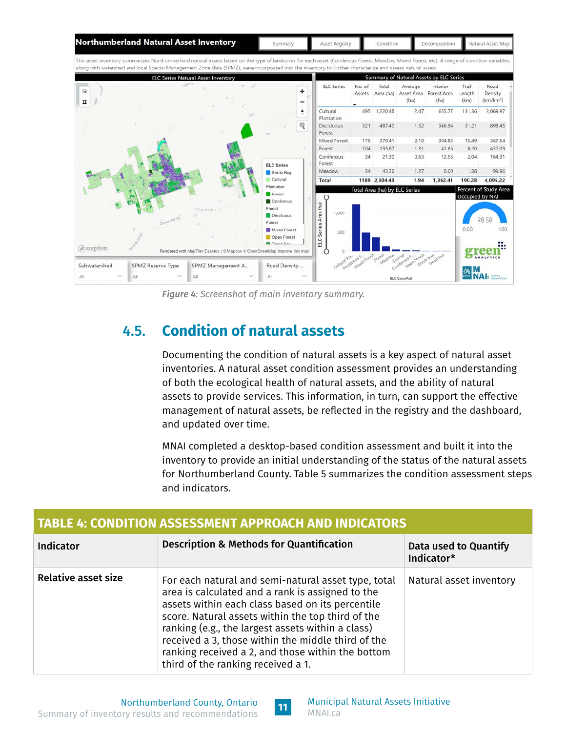<span id="page-12-0"></span>

*Figure 4: Screenshot of main inventory summary.*

### 4.5. **Condition of natural assets**

Documenting the condition of natural assets is a key aspect of natural asset inventories. A natural asset condition assessment provides an understanding of both the ecological health of natural assets, and the ability of natural assets to provide services. This information, in turn, can support the effective management of natural assets, be reflected in the registry and the dashboard, and updated over time.

MNAI completed a desktop-based condition assessment and built it into the inventory to provide an initial understanding of the status of the natural assets for Northumberland County. Table 5 summarizes the condition assessment steps and indicators.

| <b>TABLE 4: CONDITION ASSESSMENT APPROACH AND INDICATORS</b> |                                                                                                                                                                                                                                                                                                                                                                                                                        |                         |  |  |  |  |
|--------------------------------------------------------------|------------------------------------------------------------------------------------------------------------------------------------------------------------------------------------------------------------------------------------------------------------------------------------------------------------------------------------------------------------------------------------------------------------------------|-------------------------|--|--|--|--|
| <b>Indicator</b>                                             | Data used to Quantify<br>Indicator*                                                                                                                                                                                                                                                                                                                                                                                    |                         |  |  |  |  |
| <b>Relative asset size</b>                                   | For each natural and semi-natural asset type, total<br>area is calculated and a rank is assigned to the<br>assets within each class based on its percentile<br>score. Natural assets within the top third of the<br>ranking (e.g., the largest assets within a class)<br>received a 3, those within the middle third of the<br>ranking received a 2, and those within the bottom<br>third of the ranking received a 1. | Natural asset inventory |  |  |  |  |

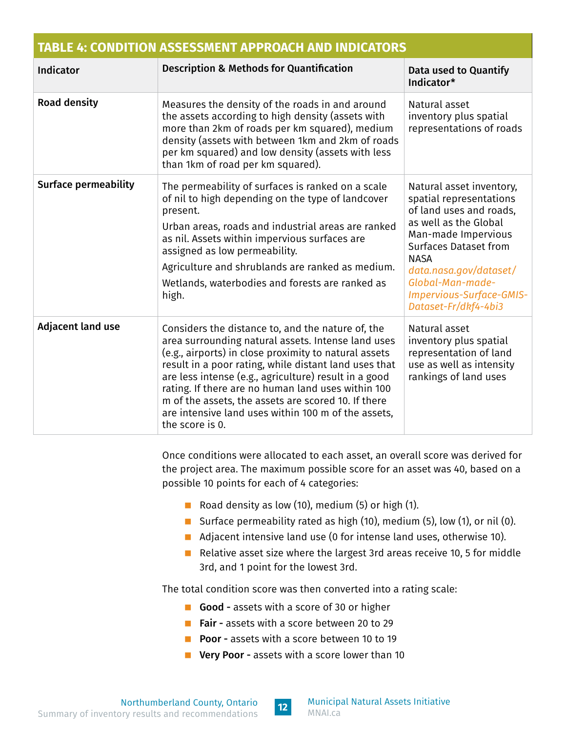| <b>TABLE 4: CONDITION ASSESSMENT APPROACH AND INDICATORS</b> |                                                                                                                                                                                                                                                                                                                                                                                                                                                                           |                                                                                                                                                                                                                                                                                 |  |  |  |  |  |
|--------------------------------------------------------------|---------------------------------------------------------------------------------------------------------------------------------------------------------------------------------------------------------------------------------------------------------------------------------------------------------------------------------------------------------------------------------------------------------------------------------------------------------------------------|---------------------------------------------------------------------------------------------------------------------------------------------------------------------------------------------------------------------------------------------------------------------------------|--|--|--|--|--|
| <b>Indicator</b>                                             | <b>Description &amp; Methods for Quantification</b>                                                                                                                                                                                                                                                                                                                                                                                                                       | Data used to Quantify<br>Indicator*                                                                                                                                                                                                                                             |  |  |  |  |  |
| <b>Road density</b>                                          | Measures the density of the roads in and around<br>the assets according to high density (assets with<br>more than 2km of roads per km squared), medium<br>density (assets with between 1km and 2km of roads<br>per km squared) and low density (assets with less<br>than 1km of road per km squared).                                                                                                                                                                     | Natural asset<br>inventory plus spatial<br>representations of roads                                                                                                                                                                                                             |  |  |  |  |  |
| <b>Surface permeability</b>                                  | The permeability of surfaces is ranked on a scale<br>of nil to high depending on the type of landcover<br>present.<br>Urban areas, roads and industrial areas are ranked<br>as nil. Assets within impervious surfaces are<br>assigned as low permeability.<br>Agriculture and shrublands are ranked as medium.<br>Wetlands, waterbodies and forests are ranked as<br>high.                                                                                                | Natural asset inventory,<br>spatial representations<br>of land uses and roads,<br>as well as the Global<br>Man-made Impervious<br><b>Surfaces Dataset from</b><br><b>NASA</b><br>data.nasa.gov/dataset/<br>Global-Man-made-<br>Impervious-Surface-GMIS-<br>Dataset-Fr/dkf4-4bi3 |  |  |  |  |  |
| <b>Adjacent land use</b>                                     | Considers the distance to, and the nature of, the<br>area surrounding natural assets. Intense land uses<br>(e.g., airports) in close proximity to natural assets<br>result in a poor rating, while distant land uses that<br>are less intense (e.g., agriculture) result in a good<br>rating. If there are no human land uses within 100<br>m of the assets, the assets are scored 10. If there<br>are intensive land uses within 100 m of the assets,<br>the score is 0. | Natural asset<br>inventory plus spatial<br>representation of land<br>use as well as intensity<br>rankings of land uses                                                                                                                                                          |  |  |  |  |  |

Once conditions were allocated to each asset, an overall score was derived for the project area. The maximum possible score for an asset was 40, based on a possible 10 points for each of 4 categories:

- Road density as low (10), medium (5) or high (1).
- Surface permeability rated as high (10), medium (5), low (1), or nil (0).
- Adjacent intensive land use (0 for intense land uses, otherwise 10).
- Relative asset size where the largest 3rd areas receive 10, 5 for middle 3rd, and 1 point for the lowest 3rd.

The total condition score was then converted into a rating scale:

- Good assets with a score of 30 or higher
- **Fair assets with a score between 20 to 29**
- **Poor** assets with a score between 10 to 19
- **Very Poor assets with a score lower than 10**

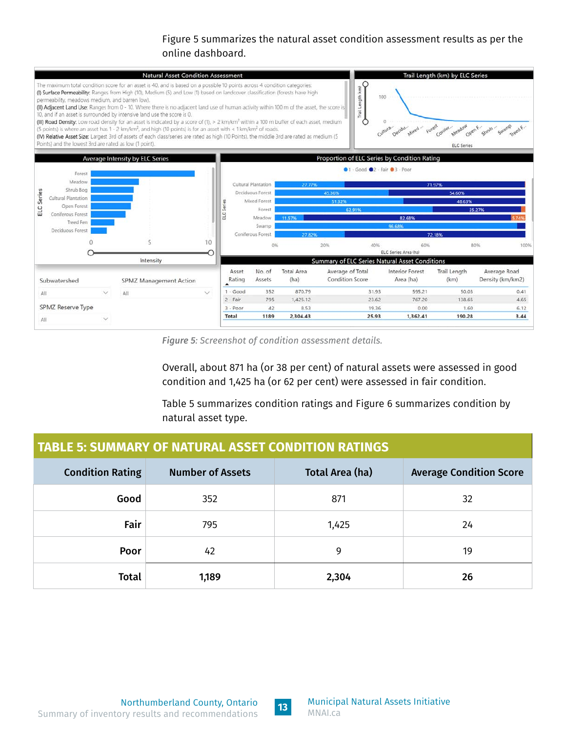#### Figure 5 summarizes the natural asset condition assessment results as per the online dashboard.

<span id="page-14-0"></span>

*Figure 5: Screenshot of condition assessment details.*

Overall, about 871 ha (or 38 per cent) of natural assets were assessed in good condition and 1,425 ha (or 62 per cent) were assessed in fair condition.

Table 5 summarizes condition ratings and Figure 6 summarizes condition by natural asset type.

| <b>TABLE 5: SUMMARY OF NATURAL ASSET CONDITION RATINGS</b>                                              |       |       |    |  |  |  |  |
|---------------------------------------------------------------------------------------------------------|-------|-------|----|--|--|--|--|
| <b>Condition Rating</b><br>Total Area (ha)<br><b>Average Condition Score</b><br><b>Number of Assets</b> |       |       |    |  |  |  |  |
| Good                                                                                                    | 352   | 871   | 32 |  |  |  |  |
| Fair                                                                                                    | 795   | 1,425 | 24 |  |  |  |  |
| Poor                                                                                                    | 42    | 9     | 19 |  |  |  |  |
| <b>Total</b>                                                                                            | 1,189 | 2,304 | 26 |  |  |  |  |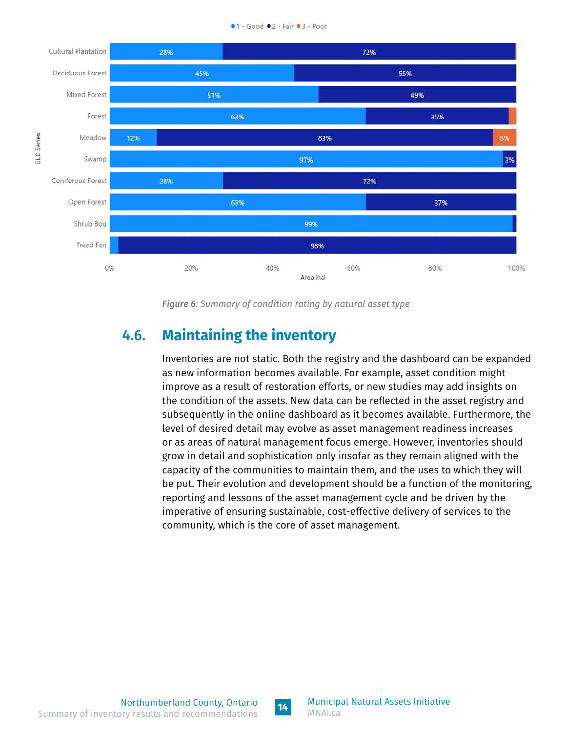

<span id="page-15-0"></span>

*Figure 6: Summary of condition rating by natural asset type*

#### 4.6. **Maintaining the inventory**

Inventories are not static. Both the registry and the dashboard can be expanded as new information becomes available. For example, asset condition might improve as a result of restoration efforts, or new studies may add insights on the condition of the assets. New data can be reflected in the asset registry and subsequently in the online dashboard as it becomes available. Furthermore, the level of desired detail may evolve as asset management readiness increases or as areas of natural management focus emerge. However, inventories should grow in detail and sophistication only insofar as they remain aligned with the capacity of the communities to maintain them, and the uses to which they will be put. Their evolution and development should be a function of the monitoring, reporting and lessons of the asset management cycle and be driven by the imperative of ensuring sustainable, cost-effective delivery of services to the community, which is the core of asset management.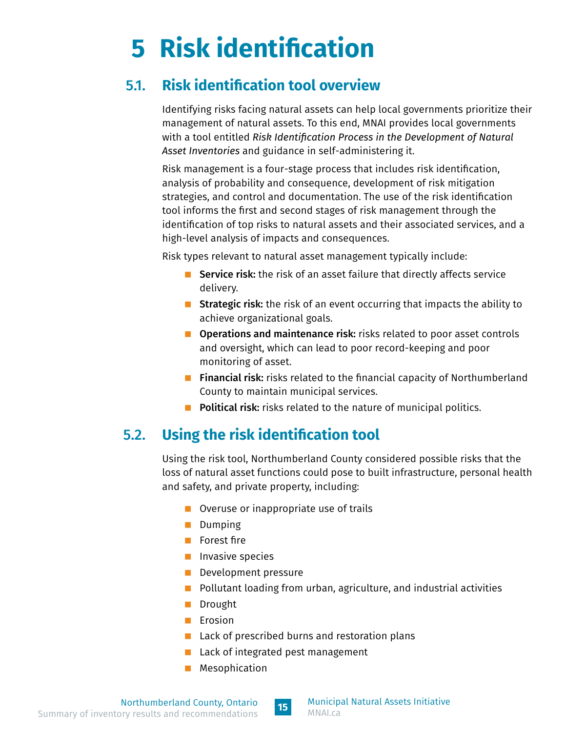# <span id="page-16-0"></span>**5 Risk identification**

### 5.1. **Risk identification tool overview**

Identifying risks facing natural assets can help local governments prioritize their management of natural assets. To this end, MNAI provides local governments with a tool entitled *Risk Identification Process in the Development of Natural Asset Inventories* and guidance in self-administering it.

Risk management is a four-stage process that includes risk identification, analysis of probability and consequence, development of risk mitigation strategies, and control and documentation. The use of the risk identification tool informs the first and second stages of risk management through the identification of top risks to natural assets and their associated services, and a high-level analysis of impacts and consequences.

Risk types relevant to natural asset management typically include:

- Service risk: the risk of an asset failure that directly affects service delivery.
- **Strategic risk:** the risk of an event occurring that impacts the ability to achieve organizational goals.
- **Operations and maintenance risk:** risks related to poor asset controls and oversight, which can lead to poor record-keeping and poor monitoring of asset.
- **Financial risk:** risks related to the financial capacity of Northumberland County to maintain municipal services.
- **Political risk:** risks related to the nature of municipal politics.

### 5.2. **Using the risk identification tool**

Using the risk tool, Northumberland County considered possible risks that the loss of natural asset functions could pose to built infrastructure, personal health and safety, and private property, including:

- Overuse or inappropriate use of trails
- **Dumping**
- **Forest fire**
- **Invasive species**
- **Development pressure**
- $\blacksquare$  Pollutant loading from urban, agriculture, and industrial activities
- Drought
- $\blacksquare$  Erosion
- $\blacksquare$  Lack of prescribed burns and restoration plans
- Lack of integrated pest management
- **Mesophication**

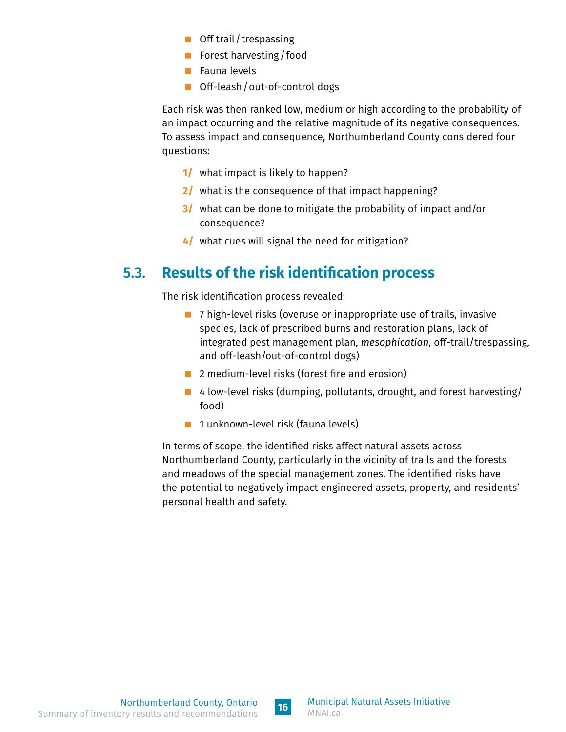- <span id="page-17-0"></span>■ Off trail/trespassing
- Forest harvesting / food
- Fauna levels
- Off-leash / out-of-control dogs

Each risk was then ranked low, medium or high according to the probability of an impact occurring and the relative magnitude of its negative consequences. To assess impact and consequence, Northumberland County considered four questions:

- **1/** what impact is likely to happen?
- **2/** what is the consequence of that impact happening?
- **3/** what can be done to mitigate the probability of impact and/or consequence?
- **4/** what cues will signal the need for mitigation?

#### 5.3. **Results of the risk identification process**

The risk identification process revealed:

- 7 high-level risks (overuse or inappropriate use of trails, invasive species, lack of prescribed burns and restoration plans, lack of integrated pest management plan, *mesophication*, off-trail/trespassing, and off-leash/out-of-control dogs)
- 2 medium-level risks (forest fire and erosion)
- 4 low-level risks (dumping, pollutants, drought, and forest harvesting/ food)
- 1 unknown-level risk (fauna levels)

In terms of scope, the identified risks affect natural assets across Northumberland County, particularly in the vicinity of trails and the forests and meadows of the special management zones. The identified risks have the potential to negatively impact engineered assets, property, and residents' personal health and safety.

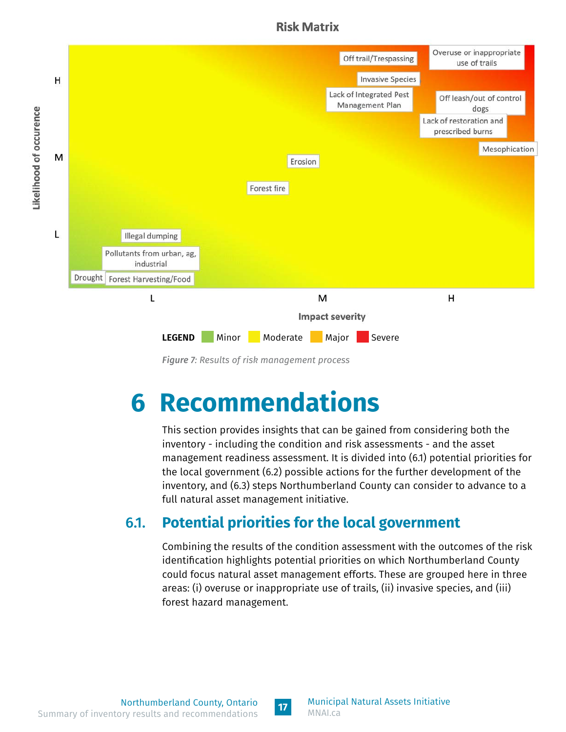#### **Risk Matrix**

<span id="page-18-0"></span>

*Figure 7: Results of risk management process*

# **6 Recommendations**

This section provides insights that can be gained from considering both the inventory - including the condition and risk assessments - and the asset management readiness assessment. It is divided into (6.1) potential priorities for the local government (6.2) possible actions for the further development of the inventory, and (6.3) steps Northumberland County can consider to advance to a full natural asset management initiative.

## 6.1. **Potential priorities for the local government**

Combining the results of the condition assessment with the outcomes of the risk identification highlights potential priorities on which Northumberland County could focus natural asset management efforts. These are grouped here in three areas: (i) overuse or inappropriate use of trails, (ii) invasive species, and (iii) forest hazard management.

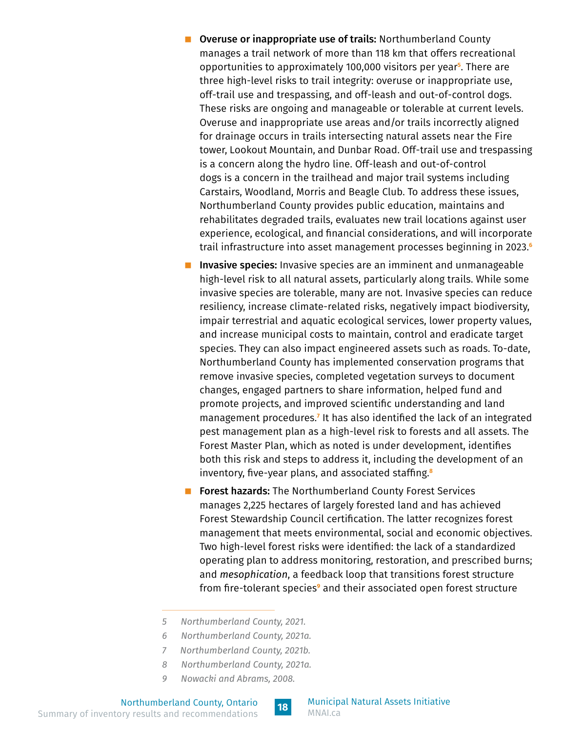- **D** Overuse or inappropriate use of trails: Northumberland County manages a trail network of more than 118 km that offers recreational opportunities to approximately 100,000 visitors per year**<sup>5</sup>** . There are three high-level risks to trail integrity: overuse or inappropriate use, off-trail use and trespassing, and off-leash and out-of-control dogs. These risks are ongoing and manageable or tolerable at current levels. Overuse and inappropriate use areas and/or trails incorrectly aligned for drainage occurs in trails intersecting natural assets near the Fire tower, Lookout Mountain, and Dunbar Road. Off-trail use and trespassing is a concern along the hydro line. Off-leash and out-of-control dogs is a concern in the trailhead and major trail systems including Carstairs, Woodland, Morris and Beagle Club. To address these issues, Northumberland County provides public education, maintains and rehabilitates degraded trails, evaluates new trail locations against user experience, ecological, and financial considerations, and will incorporate trail infrastructure into asset management processes beginning in 2023.**<sup>6</sup>**
- **Invasive species:** Invasive species are an imminent and unmanageable high-level risk to all natural assets, particularly along trails. While some invasive species are tolerable, many are not. Invasive species can reduce resiliency, increase climate-related risks, negatively impact biodiversity, impair terrestrial and aquatic ecological services, lower property values, and increase municipal costs to maintain, control and eradicate target species. They can also impact engineered assets such as roads. To-date, Northumberland County has implemented conservation programs that remove invasive species, completed vegetation surveys to document changes, engaged partners to share information, helped fund and promote projects, and improved scientific understanding and land management procedures.**<sup>7</sup>** It has also identified the lack of an integrated pest management plan as a high-level risk to forests and all assets. The Forest Master Plan, which as noted is under development, identifies both this risk and steps to address it, including the development of an inventory, five-year plans, and associated staffing.**<sup>8</sup>**
- **Forest hazards:** The Northumberland County Forest Services manages 2,225 hectares of largely forested land and has achieved Forest Stewardship Council certification. The latter recognizes forest management that meets environmental, social and economic objectives. Two high-level forest risks were identified: the lack of a standardized operating plan to address monitoring, restoration, and prescribed burns; and *mesophication*, a feedback loop that transitions forest structure from fire-tolerant species**<sup>9</sup>** and their associated open forest structure
- *5 Northumberland County, 2021.*
- *6 Northumberland County, 2021a.*
- *7 Northumberland County, 2021b.*
- *8 Northumberland County, 2021a.*
- *9 Nowacki and Abrams, 2008.*

**[18](#page-2-0)** Northumberland County, Ontario Summary of inventory results and recommendations



Municipal Natural Assets Initiative [MNAI.ca](https://mnai.ca)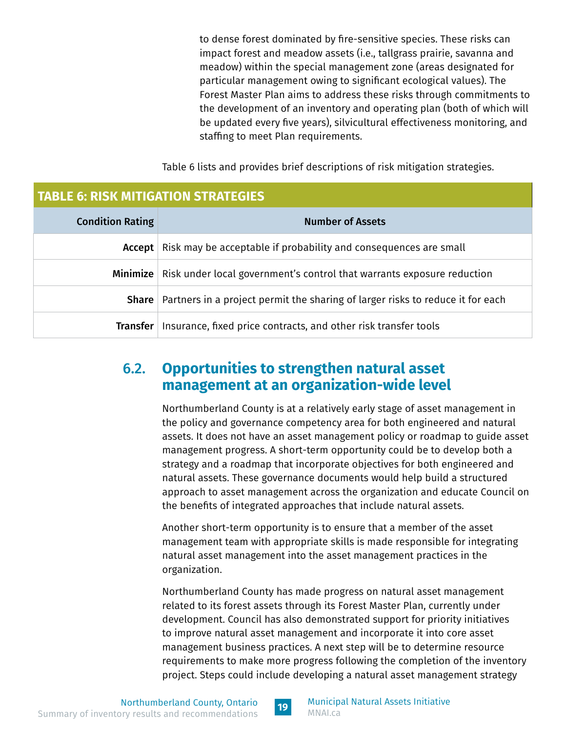to dense forest dominated by fire-sensitive species. These risks can impact forest and meadow assets (i.e., tallgrass prairie, savanna and meadow) within the special management zone (areas designated for particular management owing to significant ecological values). The Forest Master Plan aims to address these risks through commitments to the development of an inventory and operating plan (both of which will be updated every five years), silvicultural effectiveness monitoring, and staffing to meet Plan requirements.

Table 6 lists and provides brief descriptions of risk mitigation strategies.

#### <span id="page-20-0"></span>**TABLE 6: RISK MITIGATION STRATEGIES**

| <b>Condition Rating</b> | <b>Number of Assets</b>                                                                |
|-------------------------|----------------------------------------------------------------------------------------|
| Accept                  | Risk may be acceptable if probability and consequences are small                       |
|                         | Minimize   Risk under local government's control that warrants exposure reduction      |
|                         | Share   Partners in a project permit the sharing of larger risks to reduce it for each |
| Transfer                | Insurance, fixed price contracts, and other risk transfer tools                        |

#### 6.2. **Opportunities to strengthen natural asset management at an organization-wide level**

Northumberland County is at a relatively early stage of asset management in the policy and governance competency area for both engineered and natural assets. It does not have an asset management policy or roadmap to guide asset management progress. A short-term opportunity could be to develop both a strategy and a roadmap that incorporate objectives for both engineered and natural assets. These governance documents would help build a structured approach to asset management across the organization and educate Council on the benefits of integrated approaches that include natural assets.

Another short-term opportunity is to ensure that a member of the asset management team with appropriate skills is made responsible for integrating natural asset management into the asset management practices in the organization.

Northumberland County has made progress on natural asset management related to its forest assets through its Forest Master Plan, currently under development. Council has also demonstrated support for priority initiatives to improve natural asset management and incorporate it into core asset management business practices. A next step will be to determine resource requirements to make more progress following the completion of the inventory project. Steps could include developing a natural asset management strategy

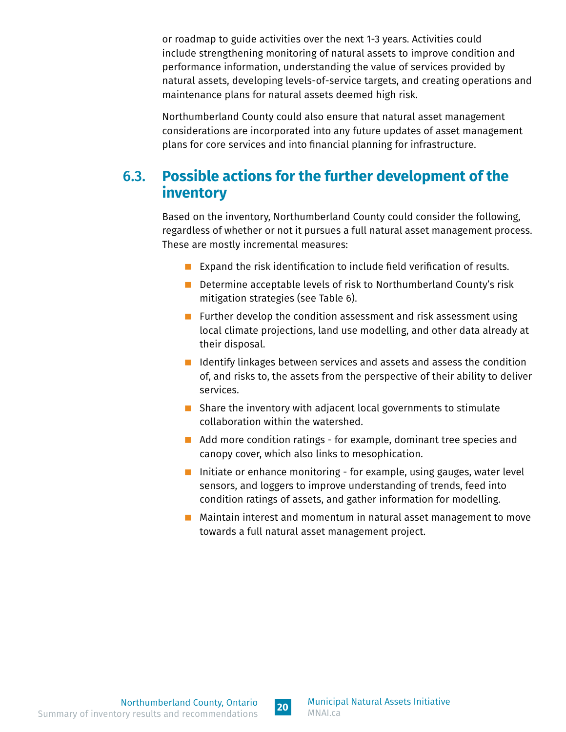<span id="page-21-0"></span>or roadmap to guide activities over the next 1-3 years. Activities could include strengthening monitoring of natural assets to improve condition and performance information, understanding the value of services provided by natural assets, developing levels-of-service targets, and creating operations and maintenance plans for natural assets deemed high risk.

Northumberland County could also ensure that natural asset management considerations are incorporated into any future updates of asset management plans for core services and into financial planning for infrastructure.

#### 6.3. **Possible actions for the further development of the inventory**

Based on the inventory, Northumberland County could consider the following, regardless of whether or not it pursues a full natural asset management process. These are mostly incremental measures:

- Expand the risk identification to include field verification of results.
- Determine acceptable levels of risk to Northumberland County's risk mitigation strategies (see Table 6).
- **Further develop the condition assessment and risk assessment using** local climate projections, land use modelling, and other data already at their disposal.
- $\blacksquare$  Identify linkages between services and assets and assess the condition of, and risks to, the assets from the perspective of their ability to deliver services.
- Share the inventory with adjacent local governments to stimulate collaboration within the watershed.
- Add more condition ratings for example, dominant tree species and canopy cover, which also links to mesophication.
- Initiate or enhance monitoring for example, using gauges, water level sensors, and loggers to improve understanding of trends, feed into condition ratings of assets, and gather information for modelling.
- **Maintain interest and momentum in natural asset management to move** towards a full natural asset management project.

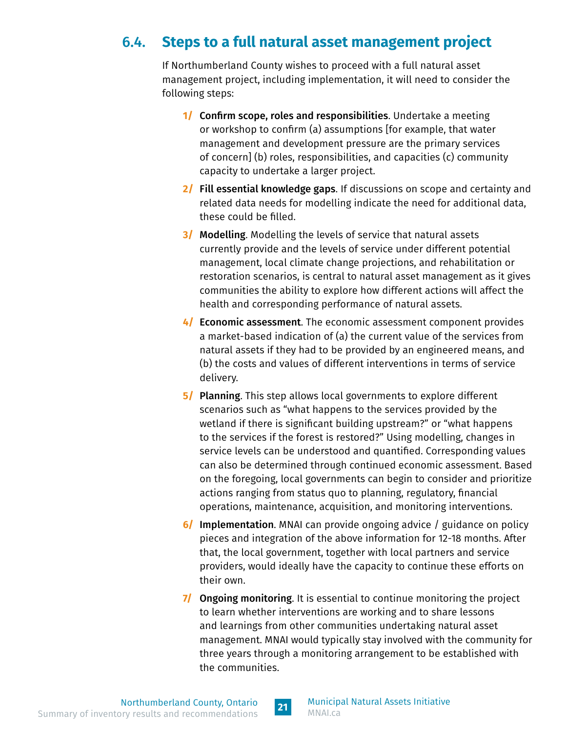## <span id="page-22-0"></span>6.4. **Steps to a full natural asset management project**

If Northumberland County wishes to proceed with a full natural asset management project, including implementation, it will need to consider the following steps:

- **1/ Confirm scope, roles and responsibilities.** Undertake a meeting or workshop to confirm (a) assumptions [for example, that water management and development pressure are the primary services of concern] (b) roles, responsibilities, and capacities (c) community capacity to undertake a larger project.
- **2/** Fill essential knowledge gaps. If discussions on scope and certainty and related data needs for modelling indicate the need for additional data, these could be filled.
- **3/** Modelling. Modelling the levels of service that natural assets currently provide and the levels of service under different potential management, local climate change projections, and rehabilitation or restoration scenarios, is central to natural asset management as it gives communities the ability to explore how different actions will affect the health and corresponding performance of natural assets.
- **4/** Economic assessment. The economic assessment component provides a market-based indication of (a) the current value of the services from natural assets if they had to be provided by an engineered means, and (b) the costs and values of different interventions in terms of service delivery.
- **5/** Planning. This step allows local governments to explore different scenarios such as "what happens to the services provided by the wetland if there is significant building upstream?" or "what happens to the services if the forest is restored?" Using modelling, changes in service levels can be understood and quantified. Corresponding values can also be determined through continued economic assessment. Based on the foregoing, local governments can begin to consider and prioritize actions ranging from status quo to planning, regulatory, financial operations, maintenance, acquisition, and monitoring interventions.
- **6/** Implementation. MNAI can provide ongoing advice / guidance on policy pieces and integration of the above information for 12-18 months. After that, the local government, together with local partners and service providers, would ideally have the capacity to continue these efforts on their own.
- **7/ Ongoing monitoring.** It is essential to continue monitoring the project to learn whether interventions are working and to share lessons and learnings from other communities undertaking natural asset management. MNAI would typically stay involved with the community for three years through a monitoring arrangement to be established with the communities.

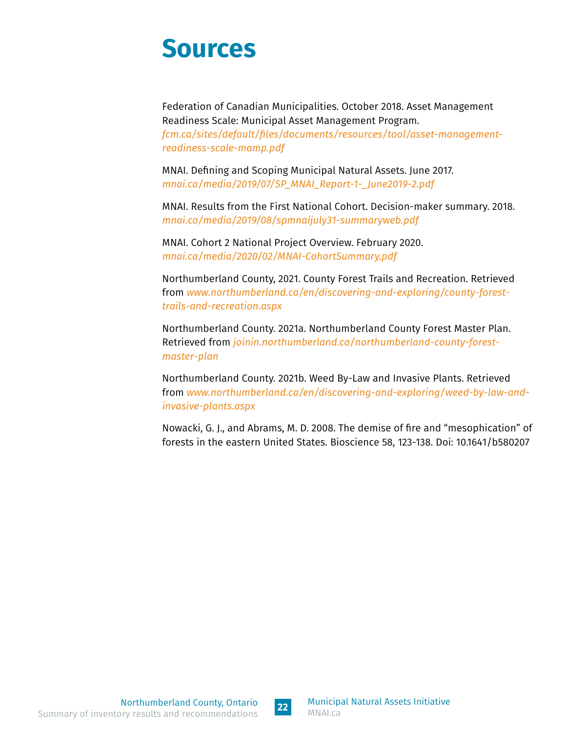## **Sources**

Federation of Canadian Municipalities. October 2018. Asset Management Readiness Scale: Municipal Asset Management Program. *[fcm.ca/sites/default/files/documents/resources/tool/asset-management](https://fcm.ca/sites/default/files/documents/resources/tool/asset-management-readiness-scale-mamp.pdf)[readiness-scale-mamp.pdf](https://fcm.ca/sites/default/files/documents/resources/tool/asset-management-readiness-scale-mamp.pdf)*

MNAI. Defining and Scoping Municipal Natural Assets. June 2017. *[mnai.ca/media/2019/07/SP\\_MNAI\\_Report-1-\\_June2019-2.pdf](https://mnai.ca/media/2019/07/SP_MNAI_Report-1-_June2019-2.pdf)*

MNAI. Results from the First National Cohort. Decision-maker summary. 2018. *[mnai.ca/media/2019/08/spmnaijuly31-summaryweb.pdf](https://mnai.ca/media/2019/08/spmnaijuly31-summaryweb.pdf)*

MNAI. Cohort 2 National Project Overview. February 2020. *[mnai.ca/media/2020/02/MNAI-CohortSummary.pdf](https://mnai.ca/media/2020/02/MNAI-CohortSummary.pdf)*

Northumberland County, 2021. County Forest Trails and Recreation. Retrieved from *[www.northumberland.ca/en/discovering-and-exploring/county-forest](https://www.northumberland.ca/en/discovering-and-exploring/county-forest-trails-and-recreation.aspx)[trails-and-recreation.aspx](https://www.northumberland.ca/en/discovering-and-exploring/county-forest-trails-and-recreation.aspx)*

Northumberland County. 2021a. Northumberland County Forest Master Plan. Retrieved from *[joinin.northumberland.ca/northumberland-county-forest](https://joinin.northumberland.ca/northumberland-county-forest-master-plan)[master-plan](https://joinin.northumberland.ca/northumberland-county-forest-master-plan)*

Northumberland County. 2021b. Weed By-Law and Invasive Plants. Retrieved from *[www.northumberland.ca/en/discovering-and-exploring/weed-by-law-and](https://www.northumberland.ca/en/discovering-and-exploring/weed-by-law-and-invasive-plants.aspx)[invasive-plants.aspx](https://www.northumberland.ca/en/discovering-and-exploring/weed-by-law-and-invasive-plants.aspx)*

Nowacki, G. J., and Abrams, M. D. 2008. The demise of fire and "mesophication" of forests in the eastern United States. Bioscience 58, 123-138. Doi: 10.1641/b580207

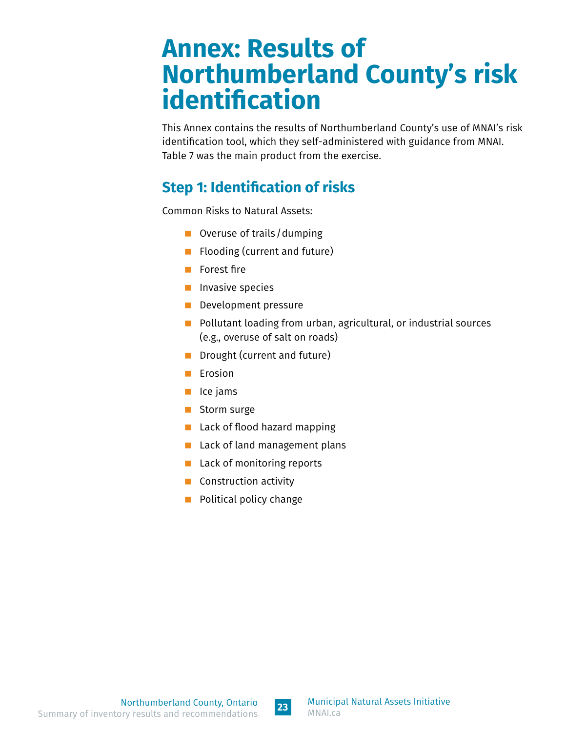## <span id="page-24-0"></span>**Annex: Results of Northumberland County's risk identification**

This Annex contains the results of Northumberland County's use of MNAI's risk identification tool, which they self-administered with guidance from MNAI. Table 7 was the main product from the exercise.

## **Step 1: Identification of risks**

Common Risks to Natural Assets:

- Overuse of trails / dumping
- **Filooding (current and future)**
- **Forest fire**
- **Invasive species**
- **Development pressure**
- $\blacksquare$  Pollutant loading from urban, agricultural, or industrial sources (e.g., overuse of salt on roads)
- **Drought (current and future)**
- $\blacksquare$  Erosion
- $\blacksquare$  Ice jams
- Storm surge
- **Lack of flood hazard mapping**
- **Lack of land management plans**
- **Lack of monitoring reports**
- **Construction activity**
- **Political policy change**

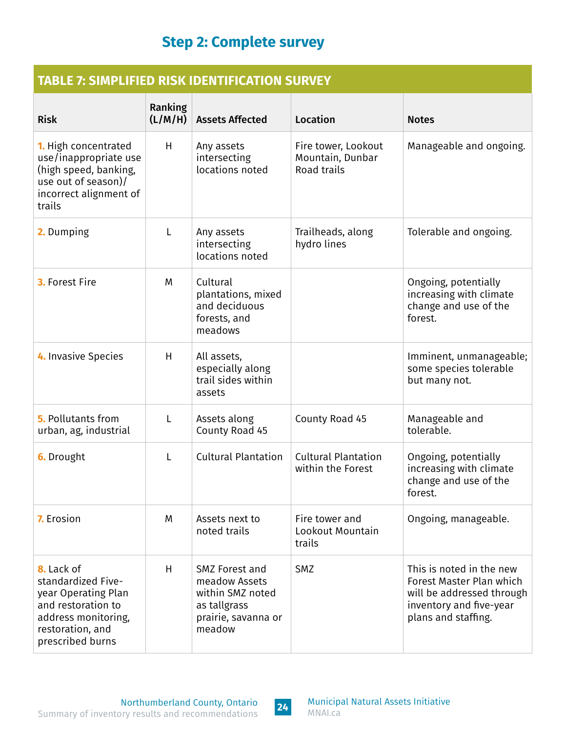## **Step 2: Complete survey**

#### <span id="page-25-0"></span>**TABLE 7: SIMPLIFIED RISK IDENTIFICATION SURVEY**

| <b>Risk</b>                                                                                                                                  | Ranking<br>(L/M/H) | <b>Assets Affected</b>                                                                               | <b>Location</b>                                               | <b>Notes</b>                                                                                                                        |
|----------------------------------------------------------------------------------------------------------------------------------------------|--------------------|------------------------------------------------------------------------------------------------------|---------------------------------------------------------------|-------------------------------------------------------------------------------------------------------------------------------------|
| <b>1.</b> High concentrated<br>use/inappropriate use<br>(high speed, banking,<br>use out of season)/<br>incorrect alignment of<br>trails     | H                  | Any assets<br>intersecting<br>locations noted                                                        | Fire tower, Lookout<br>Mountain, Dunbar<br><b>Road trails</b> | Manageable and ongoing.                                                                                                             |
| 2. Dumping                                                                                                                                   | L                  | Any assets<br>intersecting<br>locations noted                                                        | Trailheads, along<br>hydro lines                              | Tolerable and ongoing.                                                                                                              |
| 3. Forest Fire                                                                                                                               | M                  | Cultural<br>plantations, mixed<br>and deciduous<br>forests, and<br>meadows                           |                                                               | Ongoing, potentially<br>increasing with climate<br>change and use of the<br>forest.                                                 |
| 4. Invasive Species                                                                                                                          | H                  | All assets,<br>especially along<br>trail sides within<br>assets                                      |                                                               | Imminent, unmanageable;<br>some species tolerable<br>but many not.                                                                  |
| <b>5.</b> Pollutants from<br>urban, ag, industrial                                                                                           | L                  | Assets along<br>County Road 45                                                                       | County Road 45                                                | Manageable and<br>tolerable.                                                                                                        |
| <b>6.</b> Drought                                                                                                                            | L                  | <b>Cultural Plantation</b>                                                                           | <b>Cultural Plantation</b><br>within the Forest               | Ongoing, potentially<br>increasing with climate<br>change and use of the<br>forest.                                                 |
| 7. Erosion                                                                                                                                   | M                  | Assets next to<br>noted trails                                                                       | Fire tower and<br>Lookout Mountain<br>trails                  | Ongoing, manageable.                                                                                                                |
| 8. Lack of<br>standardized Five-<br>year Operating Plan<br>and restoration to<br>address monitoring,<br>restoration, and<br>prescribed burns | H                  | SMZ Forest and<br>meadow Assets<br>within SMZ noted<br>as tallgrass<br>prairie, savanna or<br>meadow | <b>SMZ</b>                                                    | This is noted in the new<br>Forest Master Plan which<br>will be addressed through<br>inventory and five-year<br>plans and staffing. |

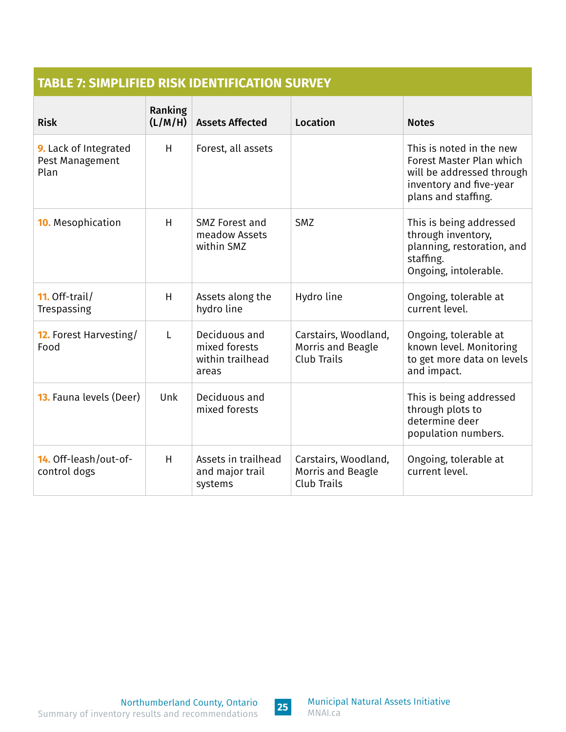#### **TABLE 7: SIMPLIFIED RISK IDENTIFICATION SURVEY**

| <b>Risk</b>                                      | Ranking<br>(L/M/H) | <b>Assets Affected</b>                                      | Location                                                 | <b>Notes</b>                                                                                                                        |
|--------------------------------------------------|--------------------|-------------------------------------------------------------|----------------------------------------------------------|-------------------------------------------------------------------------------------------------------------------------------------|
| 9. Lack of Integrated<br>Pest Management<br>Plan | H                  | Forest, all assets                                          |                                                          | This is noted in the new<br>Forest Master Plan which<br>will be addressed through<br>inventory and five-year<br>plans and staffing. |
| <b>10.</b> Mesophication                         | H                  | SMZ Forest and<br>meadow Assets<br>within SMZ               | <b>SMZ</b>                                               | This is being addressed<br>through inventory,<br>planning, restoration, and<br>staffing.<br>Ongoing, intolerable.                   |
| 11. Off-trail/<br>Trespassing                    | H                  | Assets along the<br>hydro line                              | Hydro line                                               | Ongoing, tolerable at<br>current level.                                                                                             |
| <b>12.</b> Forest Harvesting/<br>Food            | L                  | Deciduous and<br>mixed forests<br>within trailhead<br>areas | Carstairs, Woodland,<br>Morris and Beagle<br>Club Trails | Ongoing, tolerable at<br>known level. Monitoring<br>to get more data on levels<br>and impact.                                       |
| <b>13.</b> Fauna levels (Deer)                   | Unk                | Deciduous and<br>mixed forests                              |                                                          | This is being addressed<br>through plots to<br>determine deer<br>population numbers.                                                |
| 14. Off-leash/out-of-<br>control dogs            | H                  | Assets in trailhead<br>and major trail<br>systems           | Carstairs, Woodland,<br>Morris and Beagle<br>Club Trails | Ongoing, tolerable at<br>current level.                                                                                             |